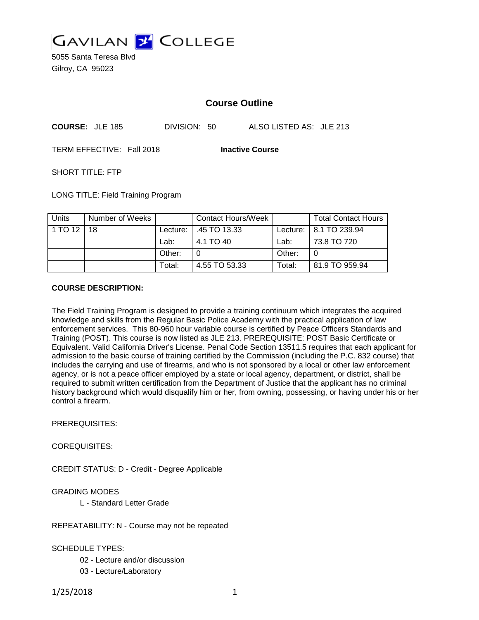

5055 Santa Teresa Blvd Gilroy, CA 95023

# **Course Outline**

| <b>COURSE: JLE 185</b> | DIVISION: 50 | ALSO LISTED AS: JLE 213 |
|------------------------|--------------|-------------------------|
|------------------------|--------------|-------------------------|

TERM EFFECTIVE: Fall 2018 **Inactive Course**

SHORT TITLE: FTP

LONG TITLE: Field Training Program

| <b>Units</b> | Number of Weeks |          | <b>Contact Hours/Week</b> |        | <b>Total Contact Hours</b> |
|--------------|-----------------|----------|---------------------------|--------|----------------------------|
| 1 TO 12      | 18              | Lecture: | $\pm$ .45 TO 13.33        |        | Lecture:   8.1 TO 239.94   |
|              |                 | Lab:     | 4.1 TO 40                 | Lab:   | 73.8 TO 720                |
|              |                 | Other:   |                           | Other: |                            |
|              |                 | Total:   | 4.55 TO 53.33             | Total: | 81.9 TO 959.94             |

### **COURSE DESCRIPTION:**

The Field Training Program is designed to provide a training continuum which integrates the acquired knowledge and skills from the Regular Basic Police Academy with the practical application of law enforcement services. This 80-960 hour variable course is certified by Peace Officers Standards and Training (POST). This course is now listed as JLE 213. PREREQUISITE: POST Basic Certificate or Equivalent. Valid California Driver's License. Penal Code Section 13511.5 requires that each applicant for admission to the basic course of training certified by the Commission (including the P.C. 832 course) that includes the carrying and use of firearms, and who is not sponsored by a local or other law enforcement agency, or is not a peace officer employed by a state or local agency, department, or district, shall be required to submit written certification from the Department of Justice that the applicant has no criminal history background which would disqualify him or her, from owning, possessing, or having under his or her control a firearm.

PREREQUISITES:

COREQUISITES:

CREDIT STATUS: D - Credit - Degree Applicable

GRADING MODES

L - Standard Letter Grade

REPEATABILITY: N - Course may not be repeated

SCHEDULE TYPES:

02 - Lecture and/or discussion

03 - Lecture/Laboratory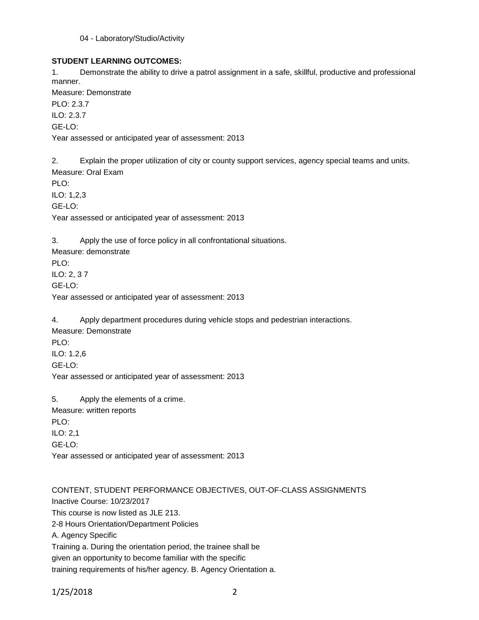### 04 - Laboratory/Studio/Activity

# **STUDENT LEARNING OUTCOMES:**

1. Demonstrate the ability to drive a patrol assignment in a safe, skillful, productive and professional manner.

Measure: Demonstrate PLO: 2.3.7 ILO: 2.3.7 GE-LO: Year assessed or anticipated year of assessment: 2013

2. Explain the proper utilization of city or county support services, agency special teams and units. Measure: Oral Exam PLO:

ILO: 1,2,3 GE-LO: Year assessed or anticipated year of assessment: 2013

3. Apply the use of force policy in all confrontational situations.

Measure: demonstrate PLO: ILO: 2, 3 7 GE-LO: Year assessed or anticipated year of assessment: 2013

4. Apply department procedures during vehicle stops and pedestrian interactions. Measure: Demonstrate PLO: ILO: 1.2,6 GE-LO: Year assessed or anticipated year of assessment: 2013

5. Apply the elements of a crime. Measure: written reports PLO: ILO: 2,1 GE-LO: Year assessed or anticipated year of assessment: 2013

CONTENT, STUDENT PERFORMANCE OBJECTIVES, OUT-OF-CLASS ASSIGNMENTS Inactive Course: 10/23/2017 This course is now listed as JLE 213. 2-8 Hours Orientation/Department Policies A. Agency Specific Training a. During the orientation period, the trainee shall be given an opportunity to become familiar with the specific training requirements of his/her agency. B. Agency Orientation a.

```
1/25/2018 2
```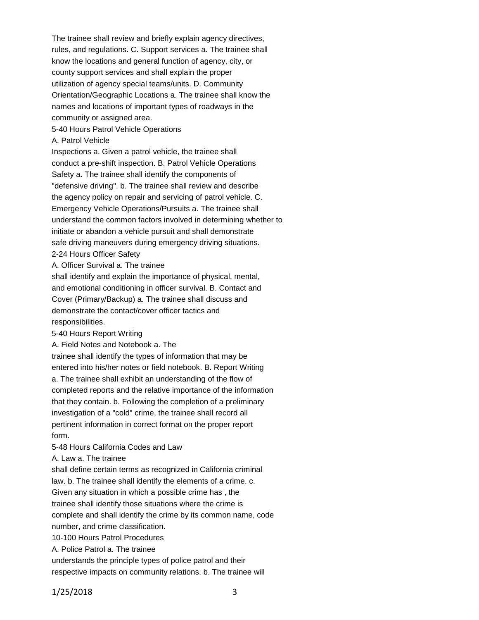The trainee shall review and briefly explain agency directives, rules, and regulations. C. Support services a. The trainee shall know the locations and general function of agency, city, or county support services and shall explain the proper utilization of agency special teams/units. D. Community Orientation/Geographic Locations a. The trainee shall know the names and locations of important types of roadways in the community or assigned area.

5-40 Hours Patrol Vehicle Operations

### A. Patrol Vehicle

Inspections a. Given a patrol vehicle, the trainee shall conduct a pre-shift inspection. B. Patrol Vehicle Operations Safety a. The trainee shall identify the components of "defensive driving". b. The trainee shall review and describe the agency policy on repair and servicing of patrol vehicle. C. Emergency Vehicle Operations/Pursuits a. The trainee shall understand the common factors involved in determining whether to initiate or abandon a vehicle pursuit and shall demonstrate safe driving maneuvers during emergency driving situations. 2-24 Hours Officer Safety

A. Officer Survival a. The trainee

shall identify and explain the importance of physical, mental, and emotional conditioning in officer survival. B. Contact and Cover (Primary/Backup) a. The trainee shall discuss and demonstrate the contact/cover officer tactics and responsibilities.

5-40 Hours Report Writing

A. Field Notes and Notebook a. The

trainee shall identify the types of information that may be entered into his/her notes or field notebook. B. Report Writing a. The trainee shall exhibit an understanding of the flow of completed reports and the relative importance of the information that they contain. b. Following the completion of a preliminary investigation of a "cold" crime, the trainee shall record all pertinent information in correct format on the proper report form.

5-48 Hours California Codes and Law

A. Law a. The trainee

shall define certain terms as recognized in California criminal

law. b. The trainee shall identify the elements of a crime. c.

Given any situation in which a possible crime has , the

trainee shall identify those situations where the crime is complete and shall identify the crime by its common name, code number, and crime classification.

10-100 Hours Patrol Procedures

A. Police Patrol a. The trainee

understands the principle types of police patrol and their

respective impacts on community relations. b. The trainee will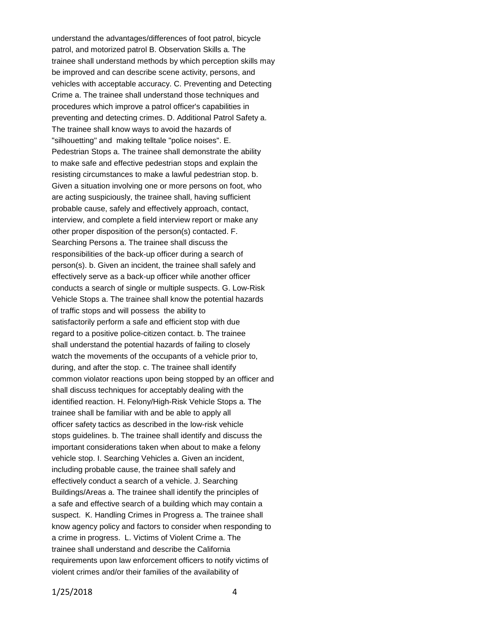understand the advantages/differences of foot patrol, bicycle patrol, and motorized patrol B. Observation Skills a. The trainee shall understand methods by which perception skills may be improved and can describe scene activity, persons, and vehicles with acceptable accuracy. C. Preventing and Detecting Crime a. The trainee shall understand those techniques and procedures which improve a patrol officer's capabilities in preventing and detecting crimes. D. Additional Patrol Safety a. The trainee shall know ways to avoid the hazards of "silhouetting" and making telltale "police noises". E. Pedestrian Stops a. The trainee shall demonstrate the ability to make safe and effective pedestrian stops and explain the resisting circumstances to make a lawful pedestrian stop. b. Given a situation involving one or more persons on foot, who are acting suspiciously, the trainee shall, having sufficient probable cause, safely and effectively approach, contact, interview, and complete a field interview report or make any other proper disposition of the person(s) contacted. F. Searching Persons a. The trainee shall discuss the responsibilities of the back-up officer during a search of person(s). b. Given an incident, the trainee shall safely and effectively serve as a back-up officer while another officer conducts a search of single or multiple suspects. G. Low-Risk Vehicle Stops a. The trainee shall know the potential hazards of traffic stops and will possess the ability to satisfactorily perform a safe and efficient stop with due regard to a positive police-citizen contact. b. The trainee shall understand the potential hazards of failing to closely watch the movements of the occupants of a vehicle prior to, during, and after the stop. c. The trainee shall identify common violator reactions upon being stopped by an officer and shall discuss techniques for acceptably dealing with the identified reaction. H. Felony/High-Risk Vehicle Stops a. The trainee shall be familiar with and be able to apply all officer safety tactics as described in the low-risk vehicle stops guidelines. b. The trainee shall identify and discuss the important considerations taken when about to make a felony vehicle stop. I. Searching Vehicles a. Given an incident, including probable cause, the trainee shall safely and effectively conduct a search of a vehicle. J. Searching Buildings/Areas a. The trainee shall identify the principles of a safe and effective search of a building which may contain a suspect. K. Handling Crimes in Progress a. The trainee shall know agency policy and factors to consider when responding to a crime in progress. L. Victims of Violent Crime a. The trainee shall understand and describe the California requirements upon law enforcement officers to notify victims of violent crimes and/or their families of the availability of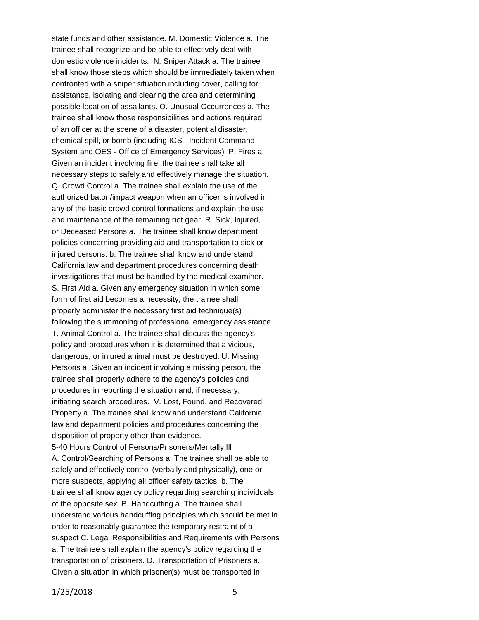state funds and other assistance. M. Domestic Violence a. The trainee shall recognize and be able to effectively deal with domestic violence incidents. N. Sniper Attack a. The trainee shall know those steps which should be immediately taken when confronted with a sniper situation including cover, calling for assistance, isolating and clearing the area and determining possible location of assailants. O. Unusual Occurrences a. The trainee shall know those responsibilities and actions required of an officer at the scene of a disaster, potential disaster, chemical spill, or bomb (including ICS - Incident Command System and OES - Office of Emergency Services) P. Fires a. Given an incident involving fire, the trainee shall take all necessary steps to safely and effectively manage the situation. Q. Crowd Control a. The trainee shall explain the use of the authorized baton/impact weapon when an officer is involved in any of the basic crowd control formations and explain the use and maintenance of the remaining riot gear. R. Sick, Injured, or Deceased Persons a. The trainee shall know department policies concerning providing aid and transportation to sick or injured persons. b. The trainee shall know and understand California law and department procedures concerning death investigations that must be handled by the medical examiner. S. First Aid a. Given any emergency situation in which some form of first aid becomes a necessity, the trainee shall properly administer the necessary first aid technique(s) following the summoning of professional emergency assistance. T. Animal Control a. The trainee shall discuss the agency's policy and procedures when it is determined that a vicious, dangerous, or injured animal must be destroyed. U. Missing Persons a. Given an incident involving a missing person, the trainee shall properly adhere to the agency's policies and procedures in reporting the situation and, if necessary, initiating search procedures. V. Lost, Found, and Recovered Property a. The trainee shall know and understand California law and department policies and procedures concerning the disposition of property other than evidence. 5-40 Hours Control of Persons/Prisoners/Mentally Ill A. Control/Searching of Persons a. The trainee shall be able to safely and effectively control (verbally and physically), one or more suspects, applying all officer safety tactics. b. The trainee shall know agency policy regarding searching individuals of the opposite sex. B. Handcuffing a. The trainee shall understand various handcuffing principles which should be met in order to reasonably guarantee the temporary restraint of a suspect C. Legal Responsibilities and Requirements with Persons a. The trainee shall explain the agency's policy regarding the transportation of prisoners. D. Transportation of Prisoners a. Given a situation in which prisoner(s) must be transported in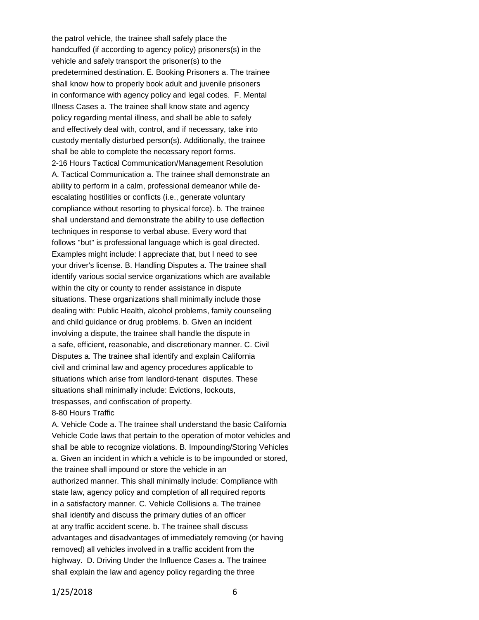the patrol vehicle, the trainee shall safely place the handcuffed (if according to agency policy) prisoners(s) in the vehicle and safely transport the prisoner(s) to the predetermined destination. E. Booking Prisoners a. The trainee shall know how to properly book adult and juvenile prisoners in conformance with agency policy and legal codes. F. Mental Illness Cases a. The trainee shall know state and agency policy regarding mental illness, and shall be able to safely and effectively deal with, control, and if necessary, take into custody mentally disturbed person(s). Additionally, the trainee shall be able to complete the necessary report forms. 2-16 Hours Tactical Communication/Management Resolution A. Tactical Communication a. The trainee shall demonstrate an ability to perform in a calm, professional demeanor while deescalating hostilities or conflicts (i.e., generate voluntary compliance without resorting to physical force). b. The trainee shall understand and demonstrate the ability to use deflection techniques in response to verbal abuse. Every word that follows "but" is professional language which is goal directed. Examples might include: I appreciate that, but I need to see your driver's license. B. Handling Disputes a. The trainee shall identify various social service organizations which are available within the city or county to render assistance in dispute situations. These organizations shall minimally include those dealing with: Public Health, alcohol problems, family counseling and child guidance or drug problems. b. Given an incident involving a dispute, the trainee shall handle the dispute in a safe, efficient, reasonable, and discretionary manner. C. Civil Disputes a. The trainee shall identify and explain California civil and criminal law and agency procedures applicable to situations which arise from landlord-tenant disputes. These situations shall minimally include: Evictions, lockouts, trespasses, and confiscation of property.

### 8-80 Hours Traffic

A. Vehicle Code a. The trainee shall understand the basic California Vehicle Code laws that pertain to the operation of motor vehicles and shall be able to recognize violations. B. Impounding/Storing Vehicles a. Given an incident in which a vehicle is to be impounded or stored, the trainee shall impound or store the vehicle in an authorized manner. This shall minimally include: Compliance with state law, agency policy and completion of all required reports in a satisfactory manner. C. Vehicle Collisions a. The trainee shall identify and discuss the primary duties of an officer at any traffic accident scene. b. The trainee shall discuss advantages and disadvantages of immediately removing (or having removed) all vehicles involved in a traffic accident from the highway. D. Driving Under the Influence Cases a. The trainee shall explain the law and agency policy regarding the three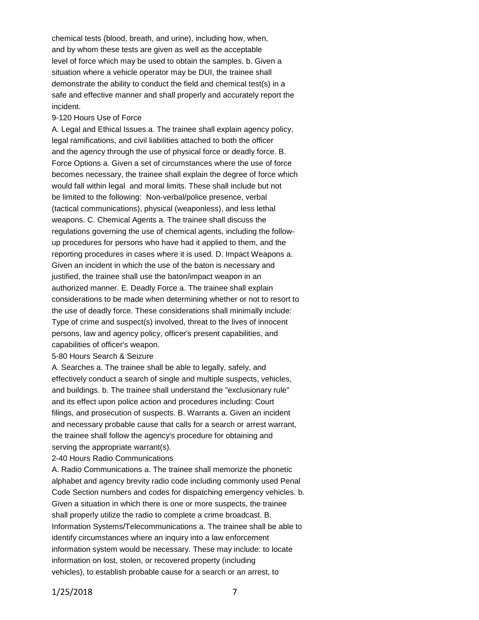chemical tests (blood, breath, and urine), including how, when, and by whom these tests are given as well as the acceptable level of force which may be used to obtain the samples. b. Given a situation where a vehicle operator may be DUI, the trainee shall demonstrate the ability to conduct the field and chemical test(s) in a safe and effective manner and shall properly and accurately report the incident.

#### 9-120 Hours Use of Force

A. Legal and Ethical Issues a. The trainee shall explain agency policy, legal ramifications, and civil liabilities attached to both the officer and the agency through the use of physical force or deadly force. B. Force Options a. Given a set of circumstances where the use of force becomes necessary, the trainee shall explain the degree of force which would fall within legal and moral limits. These shall include but not be limited to the following: Non-verbal/police presence, verbal (tactical communications), physical (weaponless), and less lethal weapons. C. Chemical Agents a. The trainee shall discuss the regulations governing the use of chemical agents, including the followup procedures for persons who have had it applied to them, and the reporting procedures in cases where it is used. D. Impact Weapons a. Given an incident in which the use of the baton is necessary and justified, the trainee shall use the baton/impact weapon in an authorized manner. E. Deadly Force a. The trainee shall explain considerations to be made when determining whether or not to resort to the use of deadly force. These considerations shall minimally include: Type of crime and suspect(s) involved, threat to the lives of innocent persons, law and agency policy, officer's present capabilities, and capabilities of officer's weapon.

#### 5-80 Hours Search & Seizure

A. Searches a. The trainee shall be able to legally, safely, and effectively conduct a search of single and multiple suspects, vehicles, and buildings. b. The trainee shall understand the "exclusionary rule" and its effect upon police action and procedures including: Court filings, and prosecution of suspects. B. Warrants a. Given an incident and necessary probable cause that calls for a search or arrest warrant, the trainee shall follow the agency's procedure for obtaining and serving the appropriate warrant(s).

### 2-40 Hours Radio Communications

A. Radio Communications a. The trainee shall memorize the phonetic alphabet and agency brevity radio code including commonly used Penal Code Section numbers and codes for dispatching emergency vehicles. b. Given a situation in which there is one or more suspects, the trainee shall properly utilize the radio to complete a crime broadcast. B. Information Systems/Telecommunications a. The trainee shall be able to identify circumstances where an inquiry into a law enforcement information system would be necessary. These may include: to locate information on lost, stolen, or recovered property (including vehicles), to establish probable cause for a search or an arrest, to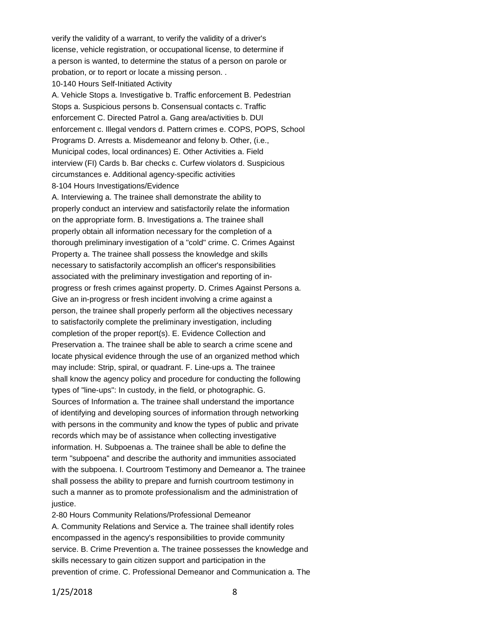verify the validity of a warrant, to verify the validity of a driver's license, vehicle registration, or occupational license, to determine if a person is wanted, to determine the status of a person on parole or probation, or to report or locate a missing person. . 10-140 Hours Self-Initiated Activity A. Vehicle Stops a. Investigative b. Traffic enforcement B. Pedestrian Stops a. Suspicious persons b. Consensual contacts c. Traffic enforcement C. Directed Patrol a. Gang area/activities b. DUI enforcement c. Illegal vendors d. Pattern crimes e. COPS, POPS, School Programs D. Arrests a. Misdemeanor and felony b. Other, (i.e., Municipal codes, local ordinances) E. Other Activities a. Field interview (FI) Cards b. Bar checks c. Curfew violators d. Suspicious circumstances e. Additional agency-specific activities 8-104 Hours Investigations/Evidence A. Interviewing a. The trainee shall demonstrate the ability to properly conduct an interview and satisfactorily relate the information on the appropriate form. B. Investigations a. The trainee shall properly obtain all information necessary for the completion of a thorough preliminary investigation of a "cold" crime. C. Crimes Against Property a. The trainee shall possess the knowledge and skills necessary to satisfactorily accomplish an officer's responsibilities associated with the preliminary investigation and reporting of inprogress or fresh crimes against property. D. Crimes Against Persons a. Give an in-progress or fresh incident involving a crime against a person, the trainee shall properly perform all the objectives necessary to satisfactorily complete the preliminary investigation, including completion of the proper report(s). E. Evidence Collection and Preservation a. The trainee shall be able to search a crime scene and locate physical evidence through the use of an organized method which may include: Strip, spiral, or quadrant. F. Line-ups a. The trainee shall know the agency policy and procedure for conducting the following types of "line-ups": In custody, in the field, or photographic. G. Sources of Information a. The trainee shall understand the importance of identifying and developing sources of information through networking with persons in the community and know the types of public and private records which may be of assistance when collecting investigative information. H. Subpoenas a. The trainee shall be able to define the term "subpoena" and describe the authority and immunities associated with the subpoena. I. Courtroom Testimony and Demeanor a. The trainee shall possess the ability to prepare and furnish courtroom testimony in such a manner as to promote professionalism and the administration of justice.

2-80 Hours Community Relations/Professional Demeanor A. Community Relations and Service a. The trainee shall identify roles encompassed in the agency's responsibilities to provide community service. B. Crime Prevention a. The trainee possesses the knowledge and skills necessary to gain citizen support and participation in the prevention of crime. C. Professional Demeanor and Communication a. The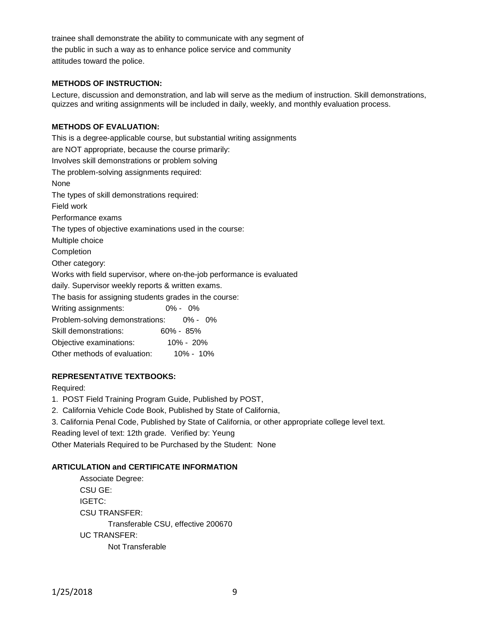trainee shall demonstrate the ability to communicate with any segment of the public in such a way as to enhance police service and community attitudes toward the police.

# **METHODS OF INSTRUCTION:**

Lecture, discussion and demonstration, and lab will serve as the medium of instruction. Skill demonstrations, quizzes and writing assignments will be included in daily, weekly, and monthly evaluation process.

# **METHODS OF EVALUATION:**

This is a degree-applicable course, but substantial writing assignments are NOT appropriate, because the course primarily: Involves skill demonstrations or problem solving The problem-solving assignments required: None The types of skill demonstrations required: Field work Performance exams The types of objective examinations used in the course: Multiple choice Completion Other category: Works with field supervisor, where on-the-job performance is evaluated daily. Supervisor weekly reports & written exams. The basis for assigning students grades in the course: Writing assignments: 0% - 0% Problem-solving demonstrations: 0% - 0% Skill demonstrations: 60% - 85% Objective examinations: 10% - 20% Other methods of evaluation: 10% - 10%

# **REPRESENTATIVE TEXTBOOKS:**

Required:

- 1. POST Field Training Program Guide, Published by POST,
- 2. California Vehicle Code Book, Published by State of California,
- 3. California Penal Code, Published by State of California, or other appropriate college level text.

Reading level of text: 12th grade. Verified by: Yeung

Other Materials Required to be Purchased by the Student: None

### **ARTICULATION and CERTIFICATE INFORMATION**

Associate Degree: CSU GE: IGETC: CSU TRANSFER: Transferable CSU, effective 200670 UC TRANSFER: Not Transferable